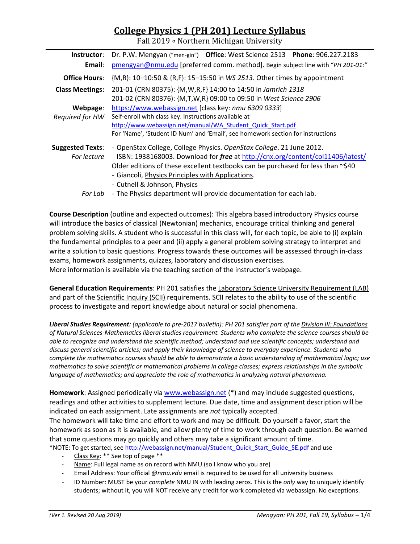# **College Physics 1 (PH 201) Lecture Syllabus**

Fall 2019 ∘ Northern Michigan University

| Instructor:             | Dr. P.W. Mengyan ("men-gin") Office: West Science 2513 Phone: 906.227.2183             |  |  |  |  |  |
|-------------------------|----------------------------------------------------------------------------------------|--|--|--|--|--|
| Email:                  | pmengyan@nmu.edu [preferred comm. method]. Begin subject line with "PH 201-01:"        |  |  |  |  |  |
| <b>Office Hours:</b>    | {M,R}: 10-10:50 & {R,F}: 15-15:50 in WS 2513. Other times by appointment               |  |  |  |  |  |
| <b>Class Meetings:</b>  | 201-01 (CRN 80375): {M, W, R, F} 14:00 to 14:50 in Jamrich 1318                        |  |  |  |  |  |
|                         | 201-02 (CRN 80376): {M,T,W,R} 09:00 to 09:50 in West Science 2906                      |  |  |  |  |  |
| Webpage:                | https://www.webassign.net [class key: nmu 6309 0333]                                   |  |  |  |  |  |
| Required for HW         | Self-enroll with class key. Instructions available at                                  |  |  |  |  |  |
|                         | http://www.webassign.net/manual/WA Student Quick Start.pdf                             |  |  |  |  |  |
|                         | For 'Name', 'Student ID Num' and 'Email', see homework section for instructions        |  |  |  |  |  |
| <b>Suggested Texts:</b> | - OpenStax College, College Physics. OpenStax College. 21 June 2012.                   |  |  |  |  |  |
| For lecture             | ISBN: 1938168003. Download for free at http://cnx.org/content/col11406/latest/         |  |  |  |  |  |
|                         | Older editions of these excellent textbooks can be purchased for less than $\sim$ \$40 |  |  |  |  |  |
|                         | - Giancoli, Physics Principles with Applications.                                      |  |  |  |  |  |
|                         | - Cutnell & Johnson, Physics                                                           |  |  |  |  |  |
| For Lab                 | - The Physics department will provide documentation for each lab.                      |  |  |  |  |  |

**Course Description** (outline and expected outcomes): This algebra based introductory Physics course will introduce the basics of classical (Newtonian) mechanics, encourage critical thinking and general problem solving skills. A student who is successful in this class will, for each topic, be able to (i) explain the fundamental principles to a peer and (ii) apply a general problem solving strategy to interpret and write a solution to basic questions. Progress towards these outcomes will be assessed through in‐class exams, homework assignments, quizzes, laboratory and discussion exercises.

More information is available via the teaching section of the instructor's webpage.

**General Education Requirements**: PH 201 satisfies the Laboratory Science University Requirement (LAB) and part of the Scientific Inquiry (SCII) requirements. SCII relates to the ability to use of the scientific process to investigate and report knowledge about natural or social phenomena.

*Liberal Studies Requirement: (applicable to pre‐2017 bulletin): PH 201 satisfies part of the Division III: Foundations of Natural Sciences‐Mathematics liberal studies requirement. Students who complete the science courses should be able to recognize and understand the scientific method; understand and use scientific concepts; understand and discuss general scientific articles; and apply their knowledge of science to everyday experience. Students who complete the mathematics courses should be able to demonstrate a basic understanding of mathematical logic; use mathematics to solve scientific or mathematical problems in college classes; express relationships in the symbolic language of mathematics; and appreciate the role of mathematics in analyzing natural phenomena.* 

**Homework**: Assigned periodically via www.webassign.net (\*) and may include suggested questions, readings and other activities to supplement lecture. Due date, time and assignment description will be indicated on each assignment. Late assignments are *not* typically accepted.

The homework will take time and effort to work and may be difficult. Do yourself a favor, start the homework as soon as it is available, and allow plenty of time to work through each question. Be warned that some questions may go quickly and others may take a significant amount of time.

\*NOTE: To get started, see http://webassign.net/manual/Student\_Quick\_Start\_Guide\_SE.pdf and use

- ‐ Class Key: \*\* See top of page \*\*
- Name: Full legal name as on record with NMU (so I know who you are)
- ‐ Email Address: Your official *@nmu.edu* email is required to be used for all university business
- ‐ ID Number: MUST be your *complete* NMU IN with leading zeros. This is the *only* way to uniquely identify students; without it, you will NOT receive any credit for work completed via webassign. No exceptions.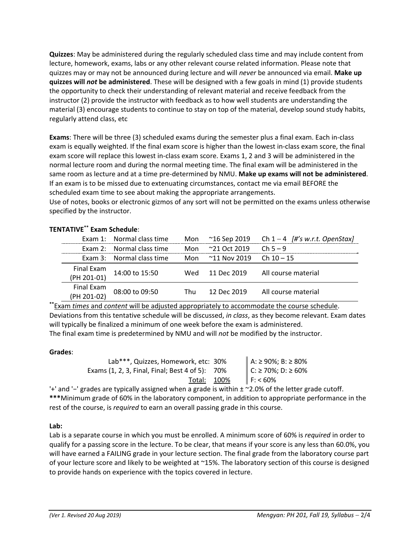**Quizzes**: May be administered during the regularly scheduled class time and may include content from lecture, homework, exams, labs or any other relevant course related information. Please note that quizzes may or may not be announced during lecture and will *never* be announced via email. **Make up quizzes will** *not* **be administered**. These will be designed with a few goals in mind (1) provide students the opportunity to check their understanding of relevant material and receive feedback from the instructor (2) provide the instructor with feedback as to how well students are understanding the material (3) encourage students to continue to stay on top of the material, develop sound study habits, regularly attend class, etc

**Exams**: There will be three (3) scheduled exams during the semester plus a final exam. Each in‐class exam is equally weighted. If the final exam score is higher than the lowest in‐class exam score, the final exam score will replace this lowest in‐class exam score. Exams 1, 2 and 3 will be administered in the normal lecture room and during the normal meeting time. The final exam will be administered in the same room as lecture and at a time pre‐determined by NMU. **Make up exams will not be administered**. If an exam is to be missed due to extenuating circumstances, contact me via email BEFORE the scheduled exam time to see about making the appropriate arrangements.

Use of notes, books or electronic gizmos of any sort will not be permitted on the exams unless otherwise specified by the instructor.

|             | Exam 1: Normal class time | Mon | ~16 Sep 2019          | Ch $1-4$ [#'s w.r.t. OpenStax] |
|-------------|---------------------------|-----|-----------------------|--------------------------------|
|             | Exam 2: Normal class time | Mon | $~21$ Oct 2019        | $Ch 5 - 9$                     |
|             | Exam 3: Normal class time | Mon | $^{\sim}$ 11 Nov 2019 | Ch $10 - 15$                   |
| Final Exam  | 14:00 to 15:50            | Wed | 11 Dec 2019           | All course material            |
| (PH 201-01) |                           |     |                       |                                |
| Final Exam  | 08:00 to 09:50            | Thu | 12 Dec 2019           | All course material            |
| (PH 201-02) |                           |     |                       |                                |

# **TENTATIVE\*\* Exam Schedule**:

**\*\***Exam *times* and *content* will be adjusted appropriately to accommodate the course schedule. Deviations from this tentative schedule will be discussed, *in class*, as they become relevant. Exam dates will typically be finalized a minimum of one week before the exam is administered. The final exam time is predetermined by NMU and will *not* be modified by the instructor.

## **Grades**:

| Lab***, Quizzes, Homework, etc: 30%             | A: ≥ 90%; B: ≥ 80%<br>C: ≥ 70%; D: ≥ 60% |
|-------------------------------------------------|------------------------------------------|
| Exams (1, 2, 3, Final, Final; Best 4 of 5): 70% |                                          |
| Total: 100%                                     | F: 60%                                   |

'+' and '−' grades are typically assigned when a grade is within ± ~2.0% of the letter grade cutoff. **\*\*\***Minimum grade of 60% in the laboratory component, in addition to appropriate performance in the rest of the course, is *required* to earn an overall passing grade in this course.

## **Lab:**

Lab is a separate course in which you must be enrolled. A minimum score of 60% is *required* in order to qualify for a passing score in the lecture. To be clear, that means if your score is any less than 60.0%, you will have earned a FAILING grade in your lecture section. The final grade from the laboratory course part of your lecture score and likely to be weighted at ~15%. The laboratory section of this course is designed to provide hands on experience with the topics covered in lecture.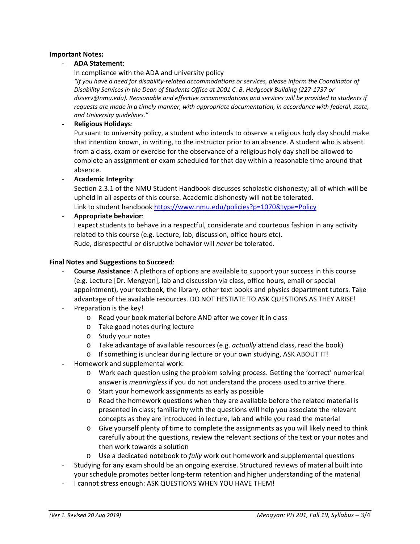## **Important Notes:**

## - **ADA Statement**:

In compliance with the ADA and university policy

*"If you have a need for disability‐related accommodations or services, please inform the Coordinator of Disability Services in the Dean of Students Office at 2001 C. B. Hedgcock Building (227‐1737 or disserv@nmu.edu). Reasonable and effective accommodations and services will be provided to students if requests are made in a timely manner, with appropriate documentation, in accordance with federal, state, and University guidelines."*

## - **Religious Holidays**:

Pursuant to university policy, a student who intends to observe a religious holy day should make that intention known, in writing, to the instructor prior to an absence. A student who is absent from a class, exam or exercise for the observance of a religious holy day shall be allowed to complete an assignment or exam scheduled for that day within a reasonable time around that absence.

- **Academic Integrity**:

Section 2.3.1 of the NMU Student Handbook discusses scholastic dishonesty; all of which will be upheld in all aspects of this course. Academic dishonesty will not be tolerated. Link to student handbook https://www.nmu.edu/policies?p=1070&type=Policy

- **Appropriate behavior**:

I expect students to behave in a respectful, considerate and courteous fashion in any activity related to this course (e.g. Lecture, lab, discussion, office hours etc). Rude, disrespectful or disruptive behavior will *never* be tolerated.

#### **Final Notes and Suggestions to Succeed**:

- **Course Assistance**: A plethora of options are available to support your success in this course (e.g. Lecture [Dr. Mengyan], lab and discussion via class, office hours, email or special appointment), your textbook, the library, other text books and physics department tutors. Take advantage of the available resources. DO NOT HESTIATE TO ASK QUESTIONS AS THEY ARISE!
- Preparation is the key!
	- o Read your book material before AND after we cover it in class
	- o Take good notes during lecture
	- o Study your notes
	- o Take advantage of available resources (e.g. *actually* attend class, read the book)
	- o If something is unclear during lecture or your own studying, ASK ABOUT IT!
- Homework and supplemental work:
	- o Work each question using the problem solving process. Getting the 'correct' numerical answer is *meaningless* if you do not understand the process used to arrive there.
	- o Start your homework assignments as early as possible
	- o Read the homework questions when they are available before the related material is presented in class; familiarity with the questions will help you associate the relevant concepts as they are introduced in lecture, lab and while you read the material
	- o Give yourself plenty of time to complete the assignments as you will likely need to think carefully about the questions, review the relevant sections of the text or your notes and then work towards a solution
	- o Use a dedicated notebook to *fully* work out homework and supplemental questions
- Studying for any exam should be an ongoing exercise. Structured reviews of material built into your schedule promotes better long‐term retention and higher understanding of the material
- I cannot stress enough: ASK QUESTIONS WHEN YOU HAVE THEM!